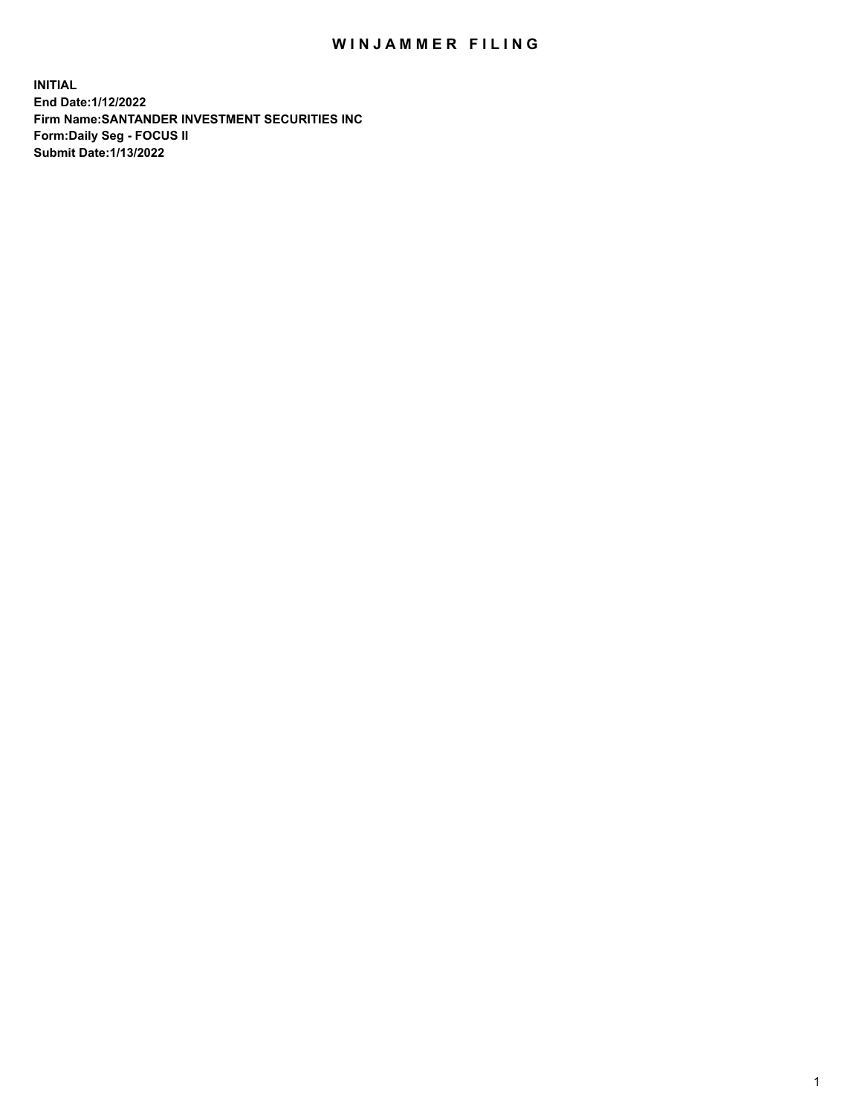## WIN JAMMER FILING

**INITIAL End Date:1/12/2022 Firm Name:SANTANDER INVESTMENT SECURITIES INC Form:Daily Seg - FOCUS II Submit Date:1/13/2022**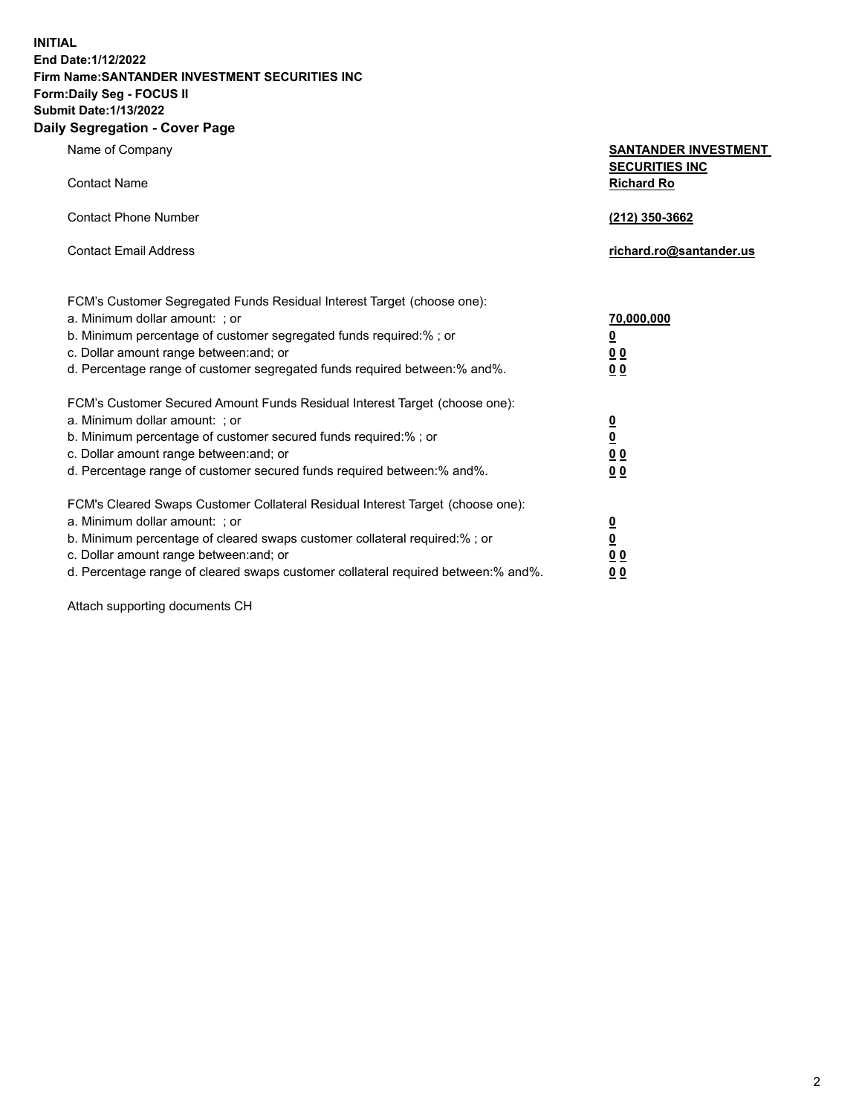**INITIAL End Date:1/12/2022 Firm Name:SANTANDER INVESTMENT SECURITIES INC Form:Daily Seg - FOCUS II Submit Date:1/13/2022 Daily Segregation - Cover Page**

Name of Company **SANTANDER INVESTMENT SECURITIES INC** Contact Name **Richard Ro** Contact Phone Number **(212) 350-3662** Contact Email Address **richard.ro@santander.us** FCM's Customer Segregated Funds Residual Interest Target (choose one): a. Minimum dollar amount: ; or **70,000,000** b. Minimum percentage of customer segregated funds required:% ; or **0** c. Dollar amount range between:and; or **0 0** d. Percentage range of customer segregated funds required between:% and%. **0 0** FCM's Customer Secured Amount Funds Residual Interest Target (choose one): a. Minimum dollar amount: ; or **0** b. Minimum percentage of customer secured funds required:% ; or **0** c. Dollar amount range between:and; or **0 0** d. Percentage range of customer secured funds required between:% and%. **0 0** FCM's Cleared Swaps Customer Collateral Residual Interest Target (choose one): a. Minimum dollar amount: ; or **0** b. Minimum percentage of cleared swaps customer collateral required:% ; or **0**

c. Dollar amount range between:and; or **0 0** d. Percentage range of cleared swaps customer collateral required between:% and%. **0 0**

Attach supporting documents CH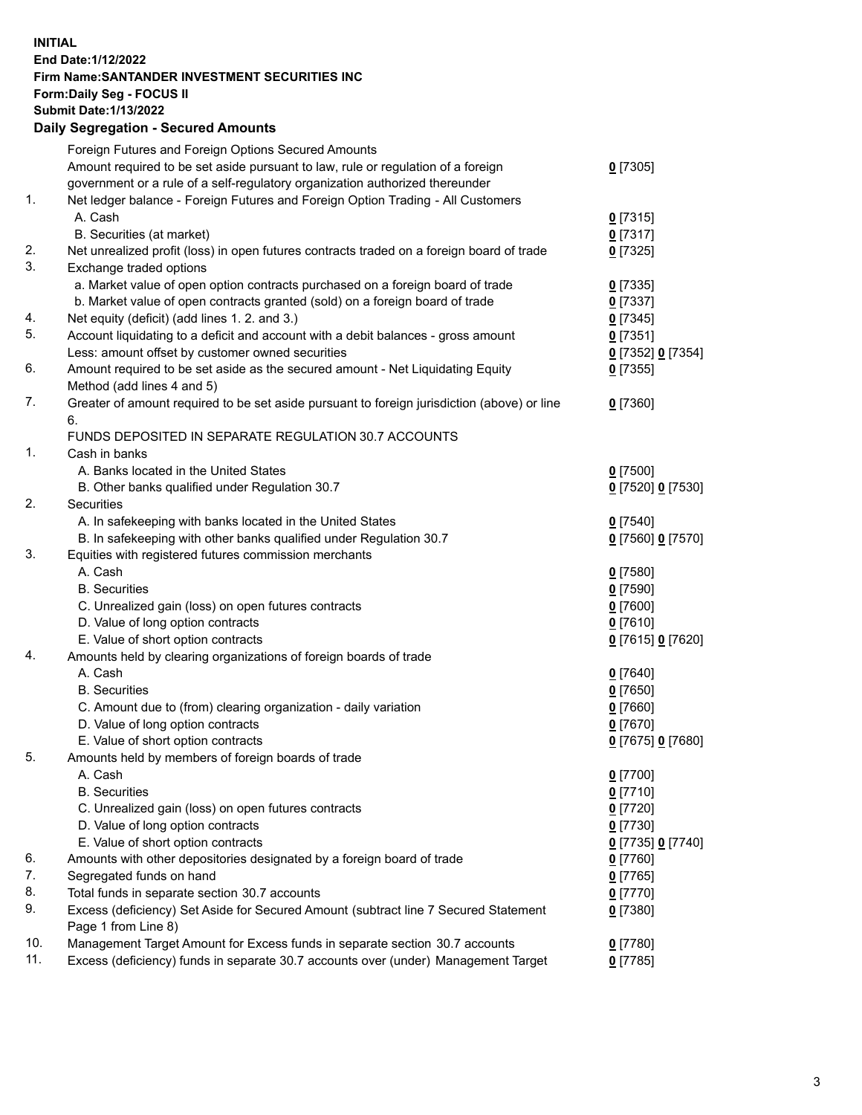## **INITIAL End Date:1/12/2022 Firm Name:SANTANDER INVESTMENT SECURITIES INC Form:Daily Seg - FOCUS II Submit Date:1/13/2022 Daily Segregation - Secured Amounts**

|     | Foreign Futures and Foreign Options Secured Amounts                                         |                   |
|-----|---------------------------------------------------------------------------------------------|-------------------|
|     | Amount required to be set aside pursuant to law, rule or regulation of a foreign            | $0$ [7305]        |
|     | government or a rule of a self-regulatory organization authorized thereunder                |                   |
| 1.  | Net ledger balance - Foreign Futures and Foreign Option Trading - All Customers             |                   |
|     | A. Cash                                                                                     | $0$ [7315]        |
|     | B. Securities (at market)                                                                   | $0$ [7317]        |
| 2.  | Net unrealized profit (loss) in open futures contracts traded on a foreign board of trade   | $0$ [7325]        |
| 3.  | Exchange traded options                                                                     |                   |
|     | a. Market value of open option contracts purchased on a foreign board of trade              | $0$ [7335]        |
|     | b. Market value of open contracts granted (sold) on a foreign board of trade                | $0$ [7337]        |
| 4.  | Net equity (deficit) (add lines 1. 2. and 3.)                                               | $0$ [7345]        |
| 5.  | Account liquidating to a deficit and account with a debit balances - gross amount           | $0$ [7351]        |
|     | Less: amount offset by customer owned securities                                            | 0 [7352] 0 [7354] |
| 6.  | Amount required to be set aside as the secured amount - Net Liquidating Equity              | $0$ [7355]        |
|     | Method (add lines 4 and 5)                                                                  |                   |
| 7.  | Greater of amount required to be set aside pursuant to foreign jurisdiction (above) or line | $0$ [7360]        |
|     | 6.                                                                                          |                   |
|     | FUNDS DEPOSITED IN SEPARATE REGULATION 30.7 ACCOUNTS                                        |                   |
| 1.  | Cash in banks                                                                               |                   |
|     | A. Banks located in the United States                                                       | $0$ [7500]        |
|     | B. Other banks qualified under Regulation 30.7                                              | 0 [7520] 0 [7530] |
| 2.  | Securities                                                                                  |                   |
|     | A. In safekeeping with banks located in the United States                                   | $0$ [7540]        |
|     | B. In safekeeping with other banks qualified under Regulation 30.7                          | 0 [7560] 0 [7570] |
| 3.  | Equities with registered futures commission merchants                                       |                   |
|     | A. Cash                                                                                     | $0$ [7580]        |
|     | <b>B.</b> Securities                                                                        | $0$ [7590]        |
|     | C. Unrealized gain (loss) on open futures contracts                                         | $0$ [7600]        |
|     | D. Value of long option contracts                                                           | $0$ [7610]        |
|     | E. Value of short option contracts                                                          | 0 [7615] 0 [7620] |
| 4.  | Amounts held by clearing organizations of foreign boards of trade                           |                   |
|     | A. Cash                                                                                     | $0$ [7640]        |
|     | <b>B.</b> Securities                                                                        | $0$ [7650]        |
|     | C. Amount due to (from) clearing organization - daily variation                             | $0$ [7660]        |
|     | D. Value of long option contracts                                                           | $0$ [7670]        |
|     | E. Value of short option contracts                                                          | 0 [7675] 0 [7680] |
| 5.  | Amounts held by members of foreign boards of trade                                          |                   |
|     | A. Cash                                                                                     | $0$ [7700]        |
|     | <b>B.</b> Securities                                                                        | $0$ [7710]        |
|     | C. Unrealized gain (loss) on open futures contracts                                         | $0$ [7720]        |
|     | D. Value of long option contracts                                                           | $0$ [7730]        |
|     | E. Value of short option contracts                                                          | 0 [7735] 0 [7740] |
| 6.  | Amounts with other depositories designated by a foreign board of trade                      | $0$ [7760]        |
| 7.  | Segregated funds on hand                                                                    | $0$ [7765]        |
| 8.  | Total funds in separate section 30.7 accounts                                               | $0$ [7770]        |
| 9.  | Excess (deficiency) Set Aside for Secured Amount (subtract line 7 Secured Statement         | $0$ [7380]        |
|     | Page 1 from Line 8)                                                                         |                   |
| 10. | Management Target Amount for Excess funds in separate section 30.7 accounts                 | $0$ [7780]        |
| 11. | Excess (deficiency) funds in separate 30.7 accounts over (under) Management Target          | $0$ [7785]        |
|     |                                                                                             |                   |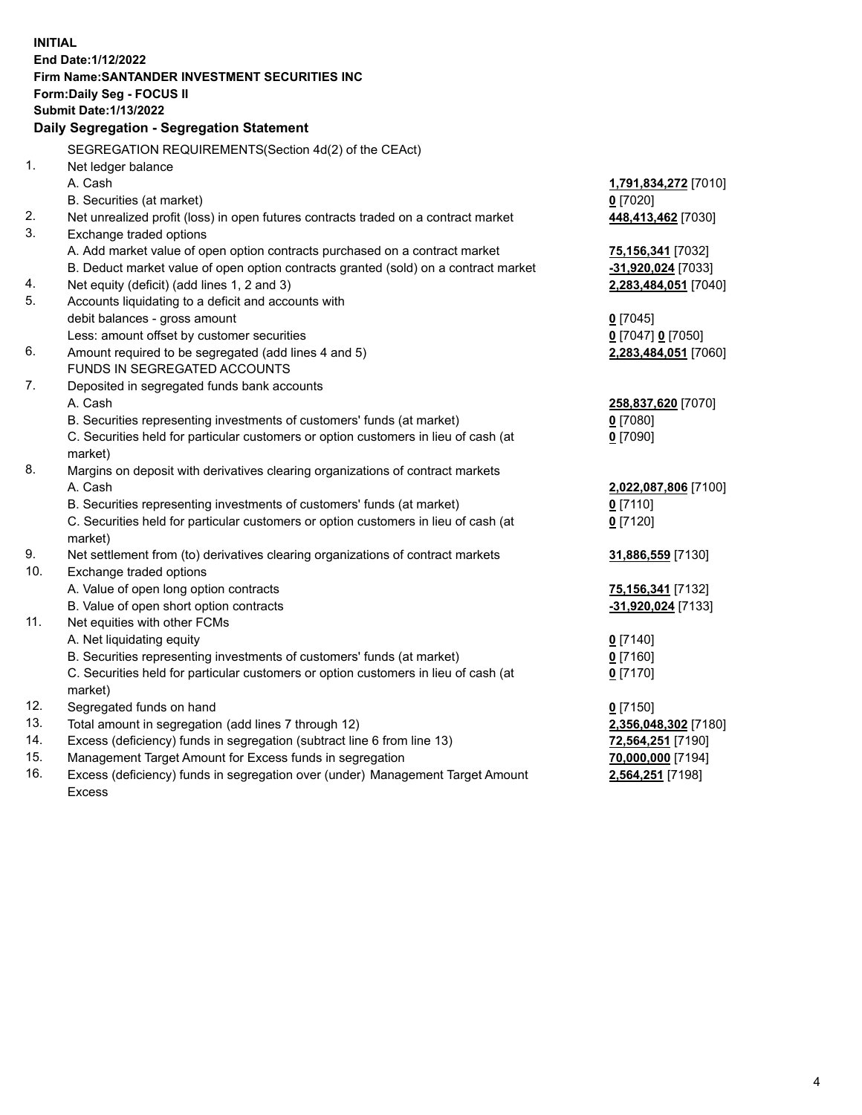| End Date: 1/12/2022<br><b>Firm Name: SANTANDER INVESTMENT SECURITIES INC</b><br><b>Form:Daily Seg - FOCUS II</b><br><b>Submit Date: 1/13/2022</b><br>Daily Segregation - Segregation Statement<br>SEGREGATION REQUIREMENTS(Section 4d(2) of the CEAct)<br>1.<br>Net ledger balance<br>A. Cash<br>1,791,834,272 [7010]<br>$0$ [7020]<br>B. Securities (at market)<br>2.<br>Net unrealized profit (loss) in open futures contracts traded on a contract market<br>448,413,462 [7030]<br>3.<br>Exchange traded options<br>A. Add market value of open option contracts purchased on a contract market<br>75,156,341 [7032]<br>B. Deduct market value of open option contracts granted (sold) on a contract market<br>-31,920,024 [7033]<br>Net equity (deficit) (add lines 1, 2 and 3)<br>4.<br>2,283,484,051 [7040]<br>5.<br>Accounts liquidating to a deficit and accounts with<br>debit balances - gross amount<br>$0$ [7045]<br>Less: amount offset by customer securities<br>0 [7047] 0 [7050]<br>6.<br>Amount required to be segregated (add lines 4 and 5)<br>2,283,484,051 [7060]<br>FUNDS IN SEGREGATED ACCOUNTS<br>7.<br>Deposited in segregated funds bank accounts<br>A. Cash<br>258,837,620 [7070]<br>B. Securities representing investments of customers' funds (at market)<br>$0$ [7080]<br>C. Securities held for particular customers or option customers in lieu of cash (at<br>$0$ [7090]<br>market)<br>8.<br>Margins on deposit with derivatives clearing organizations of contract markets<br>A. Cash<br>2,022,087,806 [7100]<br>B. Securities representing investments of customers' funds (at market)<br>$0$ [7110] |
|-----------------------------------------------------------------------------------------------------------------------------------------------------------------------------------------------------------------------------------------------------------------------------------------------------------------------------------------------------------------------------------------------------------------------------------------------------------------------------------------------------------------------------------------------------------------------------------------------------------------------------------------------------------------------------------------------------------------------------------------------------------------------------------------------------------------------------------------------------------------------------------------------------------------------------------------------------------------------------------------------------------------------------------------------------------------------------------------------------------------------------------------------------------------------------------------------------------------------------------------------------------------------------------------------------------------------------------------------------------------------------------------------------------------------------------------------------------------------------------------------------------------------------------------------------------------------------------------------------------------------------------------|
|                                                                                                                                                                                                                                                                                                                                                                                                                                                                                                                                                                                                                                                                                                                                                                                                                                                                                                                                                                                                                                                                                                                                                                                                                                                                                                                                                                                                                                                                                                                                                                                                                                         |
|                                                                                                                                                                                                                                                                                                                                                                                                                                                                                                                                                                                                                                                                                                                                                                                                                                                                                                                                                                                                                                                                                                                                                                                                                                                                                                                                                                                                                                                                                                                                                                                                                                         |
|                                                                                                                                                                                                                                                                                                                                                                                                                                                                                                                                                                                                                                                                                                                                                                                                                                                                                                                                                                                                                                                                                                                                                                                                                                                                                                                                                                                                                                                                                                                                                                                                                                         |
|                                                                                                                                                                                                                                                                                                                                                                                                                                                                                                                                                                                                                                                                                                                                                                                                                                                                                                                                                                                                                                                                                                                                                                                                                                                                                                                                                                                                                                                                                                                                                                                                                                         |
|                                                                                                                                                                                                                                                                                                                                                                                                                                                                                                                                                                                                                                                                                                                                                                                                                                                                                                                                                                                                                                                                                                                                                                                                                                                                                                                                                                                                                                                                                                                                                                                                                                         |
|                                                                                                                                                                                                                                                                                                                                                                                                                                                                                                                                                                                                                                                                                                                                                                                                                                                                                                                                                                                                                                                                                                                                                                                                                                                                                                                                                                                                                                                                                                                                                                                                                                         |
|                                                                                                                                                                                                                                                                                                                                                                                                                                                                                                                                                                                                                                                                                                                                                                                                                                                                                                                                                                                                                                                                                                                                                                                                                                                                                                                                                                                                                                                                                                                                                                                                                                         |
|                                                                                                                                                                                                                                                                                                                                                                                                                                                                                                                                                                                                                                                                                                                                                                                                                                                                                                                                                                                                                                                                                                                                                                                                                                                                                                                                                                                                                                                                                                                                                                                                                                         |
|                                                                                                                                                                                                                                                                                                                                                                                                                                                                                                                                                                                                                                                                                                                                                                                                                                                                                                                                                                                                                                                                                                                                                                                                                                                                                                                                                                                                                                                                                                                                                                                                                                         |
|                                                                                                                                                                                                                                                                                                                                                                                                                                                                                                                                                                                                                                                                                                                                                                                                                                                                                                                                                                                                                                                                                                                                                                                                                                                                                                                                                                                                                                                                                                                                                                                                                                         |
|                                                                                                                                                                                                                                                                                                                                                                                                                                                                                                                                                                                                                                                                                                                                                                                                                                                                                                                                                                                                                                                                                                                                                                                                                                                                                                                                                                                                                                                                                                                                                                                                                                         |
|                                                                                                                                                                                                                                                                                                                                                                                                                                                                                                                                                                                                                                                                                                                                                                                                                                                                                                                                                                                                                                                                                                                                                                                                                                                                                                                                                                                                                                                                                                                                                                                                                                         |
|                                                                                                                                                                                                                                                                                                                                                                                                                                                                                                                                                                                                                                                                                                                                                                                                                                                                                                                                                                                                                                                                                                                                                                                                                                                                                                                                                                                                                                                                                                                                                                                                                                         |
|                                                                                                                                                                                                                                                                                                                                                                                                                                                                                                                                                                                                                                                                                                                                                                                                                                                                                                                                                                                                                                                                                                                                                                                                                                                                                                                                                                                                                                                                                                                                                                                                                                         |
|                                                                                                                                                                                                                                                                                                                                                                                                                                                                                                                                                                                                                                                                                                                                                                                                                                                                                                                                                                                                                                                                                                                                                                                                                                                                                                                                                                                                                                                                                                                                                                                                                                         |
|                                                                                                                                                                                                                                                                                                                                                                                                                                                                                                                                                                                                                                                                                                                                                                                                                                                                                                                                                                                                                                                                                                                                                                                                                                                                                                                                                                                                                                                                                                                                                                                                                                         |
|                                                                                                                                                                                                                                                                                                                                                                                                                                                                                                                                                                                                                                                                                                                                                                                                                                                                                                                                                                                                                                                                                                                                                                                                                                                                                                                                                                                                                                                                                                                                                                                                                                         |
|                                                                                                                                                                                                                                                                                                                                                                                                                                                                                                                                                                                                                                                                                                                                                                                                                                                                                                                                                                                                                                                                                                                                                                                                                                                                                                                                                                                                                                                                                                                                                                                                                                         |
|                                                                                                                                                                                                                                                                                                                                                                                                                                                                                                                                                                                                                                                                                                                                                                                                                                                                                                                                                                                                                                                                                                                                                                                                                                                                                                                                                                                                                                                                                                                                                                                                                                         |
|                                                                                                                                                                                                                                                                                                                                                                                                                                                                                                                                                                                                                                                                                                                                                                                                                                                                                                                                                                                                                                                                                                                                                                                                                                                                                                                                                                                                                                                                                                                                                                                                                                         |
|                                                                                                                                                                                                                                                                                                                                                                                                                                                                                                                                                                                                                                                                                                                                                                                                                                                                                                                                                                                                                                                                                                                                                                                                                                                                                                                                                                                                                                                                                                                                                                                                                                         |
|                                                                                                                                                                                                                                                                                                                                                                                                                                                                                                                                                                                                                                                                                                                                                                                                                                                                                                                                                                                                                                                                                                                                                                                                                                                                                                                                                                                                                                                                                                                                                                                                                                         |
|                                                                                                                                                                                                                                                                                                                                                                                                                                                                                                                                                                                                                                                                                                                                                                                                                                                                                                                                                                                                                                                                                                                                                                                                                                                                                                                                                                                                                                                                                                                                                                                                                                         |
|                                                                                                                                                                                                                                                                                                                                                                                                                                                                                                                                                                                                                                                                                                                                                                                                                                                                                                                                                                                                                                                                                                                                                                                                                                                                                                                                                                                                                                                                                                                                                                                                                                         |
|                                                                                                                                                                                                                                                                                                                                                                                                                                                                                                                                                                                                                                                                                                                                                                                                                                                                                                                                                                                                                                                                                                                                                                                                                                                                                                                                                                                                                                                                                                                                                                                                                                         |
|                                                                                                                                                                                                                                                                                                                                                                                                                                                                                                                                                                                                                                                                                                                                                                                                                                                                                                                                                                                                                                                                                                                                                                                                                                                                                                                                                                                                                                                                                                                                                                                                                                         |
|                                                                                                                                                                                                                                                                                                                                                                                                                                                                                                                                                                                                                                                                                                                                                                                                                                                                                                                                                                                                                                                                                                                                                                                                                                                                                                                                                                                                                                                                                                                                                                                                                                         |
| C. Securities held for particular customers or option customers in lieu of cash (at<br>$0$ [7120]                                                                                                                                                                                                                                                                                                                                                                                                                                                                                                                                                                                                                                                                                                                                                                                                                                                                                                                                                                                                                                                                                                                                                                                                                                                                                                                                                                                                                                                                                                                                       |
| market)                                                                                                                                                                                                                                                                                                                                                                                                                                                                                                                                                                                                                                                                                                                                                                                                                                                                                                                                                                                                                                                                                                                                                                                                                                                                                                                                                                                                                                                                                                                                                                                                                                 |
| 9.<br>Net settlement from (to) derivatives clearing organizations of contract markets<br>31,886,559 [7130]                                                                                                                                                                                                                                                                                                                                                                                                                                                                                                                                                                                                                                                                                                                                                                                                                                                                                                                                                                                                                                                                                                                                                                                                                                                                                                                                                                                                                                                                                                                              |
| 10.<br>Exchange traded options                                                                                                                                                                                                                                                                                                                                                                                                                                                                                                                                                                                                                                                                                                                                                                                                                                                                                                                                                                                                                                                                                                                                                                                                                                                                                                                                                                                                                                                                                                                                                                                                          |
| A. Value of open long option contracts<br>75,156,341 [7132]                                                                                                                                                                                                                                                                                                                                                                                                                                                                                                                                                                                                                                                                                                                                                                                                                                                                                                                                                                                                                                                                                                                                                                                                                                                                                                                                                                                                                                                                                                                                                                             |
| B. Value of open short option contracts<br>-31,920,024 [7133]                                                                                                                                                                                                                                                                                                                                                                                                                                                                                                                                                                                                                                                                                                                                                                                                                                                                                                                                                                                                                                                                                                                                                                                                                                                                                                                                                                                                                                                                                                                                                                           |
| 11.<br>Net equities with other FCMs                                                                                                                                                                                                                                                                                                                                                                                                                                                                                                                                                                                                                                                                                                                                                                                                                                                                                                                                                                                                                                                                                                                                                                                                                                                                                                                                                                                                                                                                                                                                                                                                     |
| A. Net liquidating equity<br>$0$ [7140]                                                                                                                                                                                                                                                                                                                                                                                                                                                                                                                                                                                                                                                                                                                                                                                                                                                                                                                                                                                                                                                                                                                                                                                                                                                                                                                                                                                                                                                                                                                                                                                                 |
| B. Securities representing investments of customers' funds (at market)<br>$0$ [7160]                                                                                                                                                                                                                                                                                                                                                                                                                                                                                                                                                                                                                                                                                                                                                                                                                                                                                                                                                                                                                                                                                                                                                                                                                                                                                                                                                                                                                                                                                                                                                    |
| C. Securities held for particular customers or option customers in lieu of cash (at<br>$0$ [7170]                                                                                                                                                                                                                                                                                                                                                                                                                                                                                                                                                                                                                                                                                                                                                                                                                                                                                                                                                                                                                                                                                                                                                                                                                                                                                                                                                                                                                                                                                                                                       |
| market)<br>12.<br>Segregated funds on hand<br>$0$ [7150]                                                                                                                                                                                                                                                                                                                                                                                                                                                                                                                                                                                                                                                                                                                                                                                                                                                                                                                                                                                                                                                                                                                                                                                                                                                                                                                                                                                                                                                                                                                                                                                |
| 13.<br>Total amount in segregation (add lines 7 through 12)                                                                                                                                                                                                                                                                                                                                                                                                                                                                                                                                                                                                                                                                                                                                                                                                                                                                                                                                                                                                                                                                                                                                                                                                                                                                                                                                                                                                                                                                                                                                                                             |
| 2,356,048,302 [7180]<br>14.<br>Excess (deficiency) funds in segregation (subtract line 6 from line 13)<br>72,564,251 [7190]                                                                                                                                                                                                                                                                                                                                                                                                                                                                                                                                                                                                                                                                                                                                                                                                                                                                                                                                                                                                                                                                                                                                                                                                                                                                                                                                                                                                                                                                                                             |
| 15.<br>Management Target Amount for Excess funds in segregation<br>70,000,000 [7194]                                                                                                                                                                                                                                                                                                                                                                                                                                                                                                                                                                                                                                                                                                                                                                                                                                                                                                                                                                                                                                                                                                                                                                                                                                                                                                                                                                                                                                                                                                                                                    |
| 16.<br>Excess (deficiency) funds in segregation over (under) Management Target Amount<br>2,564,251 [7198]                                                                                                                                                                                                                                                                                                                                                                                                                                                                                                                                                                                                                                                                                                                                                                                                                                                                                                                                                                                                                                                                                                                                                                                                                                                                                                                                                                                                                                                                                                                               |
| Excess                                                                                                                                                                                                                                                                                                                                                                                                                                                                                                                                                                                                                                                                                                                                                                                                                                                                                                                                                                                                                                                                                                                                                                                                                                                                                                                                                                                                                                                                                                                                                                                                                                  |